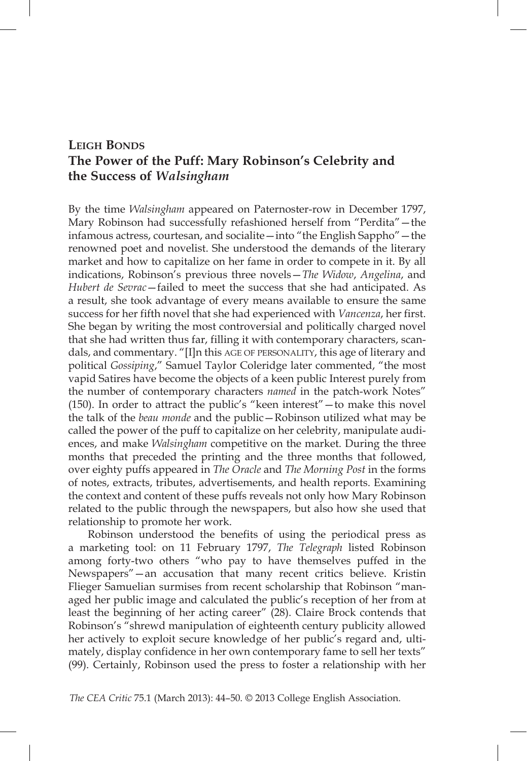## **Leigh Bonds The Power of the Puff: Mary Robinson's Celebrity and the Success of** *Walsingham*

By the time *Walsingham* appeared on Paternoster-row in December 1797, Mary Robinson had successfully refashioned herself from "Perdita"—the infamous actress, courtesan, and socialite—into "the English Sappho"—the renowned poet and novelist. She understood the demands of the literary market and how to capitalize on her fame in order to compete in it. By all indications, Robinson's previous three novels—*The Widow*, *Angelina*, and *Hubert de Sevrac*—failed to meet the success that she had anticipated. As a result, she took advantage of every means available to ensure the same success for her fifth novel that she had experienced with *Vancenza*, her first. She began by writing the most controversial and politically charged novel that she had written thus far, filling it with contemporary characters, scandals, and commentary. "[I]n this AGE OF PERSONALITY, this age of literary and political *Gossiping*," Samuel Taylor Coleridge later commented, "the most vapid Satires have become the objects of a keen public Interest purely from the number of contemporary characters *named* in the patch-work Notes" (150). In order to attract the public's "keen interest"—to make this novel the talk of the *beau monde* and the public—Robinson utilized what may be called the power of the puff to capitalize on her celebrity, manipulate audiences, and make *Walsingham* competitive on the market. During the three months that preceded the printing and the three months that followed, over eighty puffs appeared in *The Oracle* and *The Morning Post* in the forms of notes, extracts, tributes, advertisements, and health reports. Examining the context and content of these puffs reveals not only how Mary Robinson related to the public through the newspapers, but also how she used that relationship to promote her work.

Robinson understood the benefits of using the periodical press as a marketing tool: on 11 February 1797, *The Telegraph* listed Robinson among forty-two others "who pay to have themselves puffed in the Newspapers"—an accusation that many recent critics believe. Kristin Flieger Samuelian surmises from recent scholarship that Robinson "managed her public image and calculated the public's reception of her from at least the beginning of her acting career" (28). Claire Brock contends that Robinson's "shrewd manipulation of eighteenth century publicity allowed her actively to exploit secure knowledge of her public's regard and, ultimately, display confidence in her own contemporary fame to sell her texts" (99). Certainly, Robinson used the press to foster a relationship with her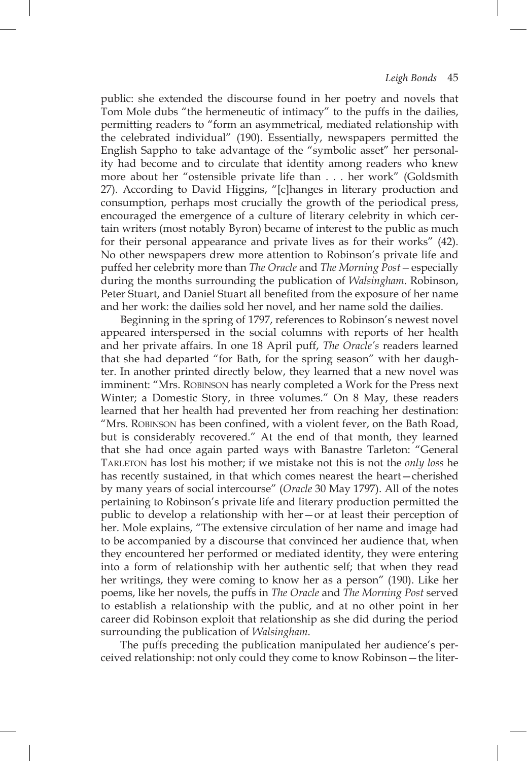public: she extended the discourse found in her poetry and novels that Tom Mole dubs "the hermeneutic of intimacy" to the puffs in the dailies, permitting readers to "form an asymmetrical, mediated relationship with the celebrated individual" (190). Essentially, newspapers permitted the English Sappho to take advantage of the "symbolic asset" her personality had become and to circulate that identity among readers who knew more about her "ostensible private life than . . . her work" (Goldsmith 27). According to David Higgins, "[c]hanges in literary production and consumption, perhaps most crucially the growth of the periodical press, encouraged the emergence of a culture of literary celebrity in which certain writers (most notably Byron) became of interest to the public as much for their personal appearance and private lives as for their works" (42). No other newspapers drew more attention to Robinson's private life and puffed her celebrity more than *The Oracle* and *The Morning Post—*especially during the months surrounding the publication of *Walsingham*. Robinson, Peter Stuart, and Daniel Stuart all benefited from the exposure of her name and her work: the dailies sold her novel, and her name sold the dailies.

Beginning in the spring of 1797, references to Robinson's newest novel appeared interspersed in the social columns with reports of her health and her private affairs. In one 18 April puff, *The Oracle's* readers learned that she had departed "for Bath, for the spring season" with her daughter. In another printed directly below, they learned that a new novel was imminent: "Mrs. Robinson has nearly completed a Work for the Press next Winter; a Domestic Story, in three volumes." On 8 May, these readers learned that her health had prevented her from reaching her destination: "Mrs. Robinson has been confined, with a violent fever, on the Bath Road, but is considerably recovered." At the end of that month, they learned that she had once again parted ways with Banastre Tarleton: "General Tarleton has lost his mother; if we mistake not this is not the *only loss* he has recently sustained, in that which comes nearest the heart—cherished by many years of social intercourse" (*Oracle* 30 May 1797). All of the notes pertaining to Robinson's private life and literary production permitted the public to develop a relationship with her—or at least their perception of her. Mole explains, "The extensive circulation of her name and image had to be accompanied by a discourse that convinced her audience that, when they encountered her performed or mediated identity, they were entering into a form of relationship with her authentic self; that when they read her writings, they were coming to know her as a person" (190). Like her poems, like her novels, the puffs in *The Oracle* and *The Morning Post* served to establish a relationship with the public, and at no other point in her career did Robinson exploit that relationship as she did during the period surrounding the publication of *Walsingham*.

The puffs preceding the publication manipulated her audience's perceived relationship: not only could they come to know Robinson—the liter-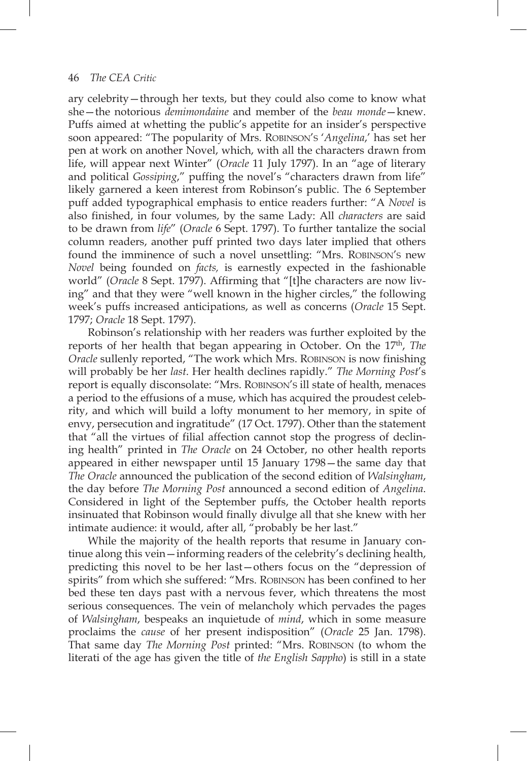ary celebrity—through her texts, but they could also come to know what she—the notorious *demimondaine* and member of the *beau monde*—knew. Puffs aimed at whetting the public's appetite for an insider's perspective soon appeared: "The popularity of Mrs. Robinson's '*Angelina*,' has set her pen at work on another Novel, which, with all the characters drawn from life, will appear next Winter" (*Oracle* 11 July 1797). In an "age of literary and political *Gossiping*," puffing the novel's "characters drawn from life" likely garnered a keen interest from Robinson's public. The 6 September puff added typographical emphasis to entice readers further: "A *Novel* is also finished, in four volumes, by the same Lady: All *characters* are said to be drawn from *life*" (*Oracle* 6 Sept. 1797). To further tantalize the social column readers, another puff printed two days later implied that others found the imminence of such a novel unsettling: "Mrs. Robinson's new *Novel* being founded on *facts,* is earnestly expected in the fashionable world" (*Oracle* 8 Sept. 1797). Affirming that "[t]he characters are now living" and that they were "well known in the higher circles," the following week's puffs increased anticipations, as well as concerns (*Oracle* 15 Sept. 1797; *Oracle* 18 Sept. 1797).

Robinson's relationship with her readers was further exploited by the reports of her health that began appearing in October. On the 17th, *The Oracle* sullenly reported, "The work which Mrs. Robinson is now finishing will probably be her *last*. Her health declines rapidly." *The Morning Post*'s report is equally disconsolate: "Mrs. Robinson's ill state of health, menaces a period to the effusions of a muse, which has acquired the proudest celebrity, and which will build a lofty monument to her memory, in spite of envy, persecution and ingratitude" (17 Oct. 1797). Other than the statement that "all the virtues of filial affection cannot stop the progress of declining health" printed in *The Oracle* on 24 October, no other health reports appeared in either newspaper until 15 January 1798—the same day that *The Oracle* announced the publication of the second edition of *Walsingham*, the day before *The Morning Post* announced a second edition of *Angelina*. Considered in light of the September puffs, the October health reports insinuated that Robinson would finally divulge all that she knew with her intimate audience: it would, after all, "probably be her last."

While the majority of the health reports that resume in January continue along this vein—informing readers of the celebrity's declining health, predicting this novel to be her last—others focus on the "depression of spirits" from which she suffered: "Mrs. Robinson has been confined to her bed these ten days past with a nervous fever, which threatens the most serious consequences. The vein of melancholy which pervades the pages of *Walsingham*, bespeaks an inquietude of *mind*, which in some measure proclaims the *cause* of her present indisposition" (*Oracle* 25 Jan. 1798). That same day *The Morning Post* printed: "Mrs. Robinson (to whom the literati of the age has given the title of *the English Sappho*) is still in a state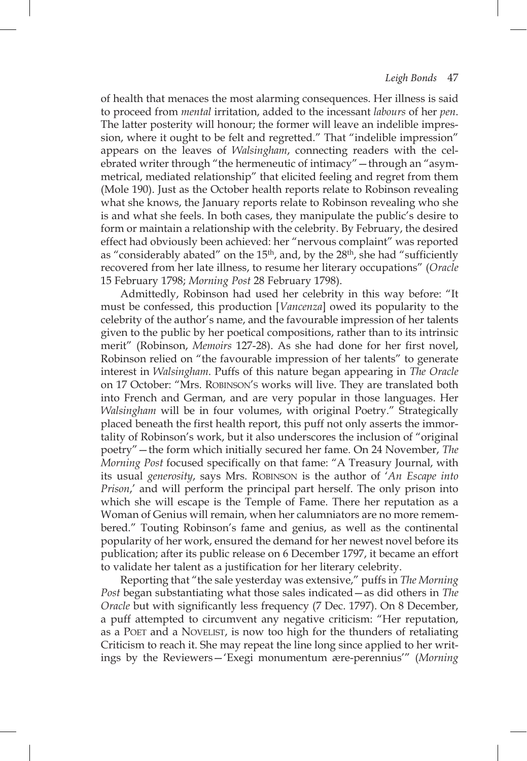of health that menaces the most alarming consequences. Her illness is said to proceed from *mental* irritation, added to the incessant *labours* of her *pen*. The latter posterity will honour; the former will leave an indelible impression, where it ought to be felt and regretted." That "indelible impression" appears on the leaves of *Walsingham*, connecting readers with the celebrated writer through "the hermeneutic of intimacy"—through an "asymmetrical, mediated relationship" that elicited feeling and regret from them (Mole 190). Just as the October health reports relate to Robinson revealing what she knows, the January reports relate to Robinson revealing who she is and what she feels. In both cases, they manipulate the public's desire to form or maintain a relationship with the celebrity. By February, the desired effect had obviously been achieved: her "nervous complaint" was reported as "considerably abated" on the 15<sup>th</sup>, and, by the 28<sup>th</sup>, she had "sufficiently recovered from her late illness, to resume her literary occupations" (*Oracle* 15 February 1798; *Morning Post* 28 February 1798).

Admittedly, Robinson had used her celebrity in this way before: "It must be confessed, this production [*Vancenza*] owed its popularity to the celebrity of the author's name, and the favourable impression of her talents given to the public by her poetical compositions, rather than to its intrinsic merit" (Robinson, *Memoirs* 127-28). As she had done for her first novel, Robinson relied on "the favourable impression of her talents" to generate interest in *Walsingham*. Puffs of this nature began appearing in *The Oracle* on 17 October: "Mrs. Robinson's works will live. They are translated both into French and German, and are very popular in those languages. Her *Walsingham* will be in four volumes, with original Poetry." Strategically placed beneath the first health report, this puff not only asserts the immortality of Robinson's work, but it also underscores the inclusion of "original poetry"—the form which initially secured her fame. On 24 November, *The Morning Post* focused specifically on that fame: "A Treasury Journal, with its usual *generosity*, says Mrs. Robinson is the author of '*An Escape into Prison*,' and will perform the principal part herself. The only prison into which she will escape is the Temple of Fame. There her reputation as a Woman of Genius will remain, when her calumniators are no more remembered." Touting Robinson's fame and genius, as well as the continental popularity of her work, ensured the demand for her newest novel before its publication; after its public release on 6 December 1797, it became an effort to validate her talent as a justification for her literary celebrity.

Reporting that "the sale yesterday was extensive," puffs in *The Morning Post* began substantiating what those sales indicated—as did others in *The Oracle* but with significantly less frequency (7 Dec. 1797). On 8 December, a puff attempted to circumvent any negative criticism: "Her reputation, as a POET and a NOVELIST, is now too high for the thunders of retaliating Criticism to reach it. She may repeat the line long since applied to her writings by the Reviewers—'Exegi monumentum ære-perennius'" (*Morning*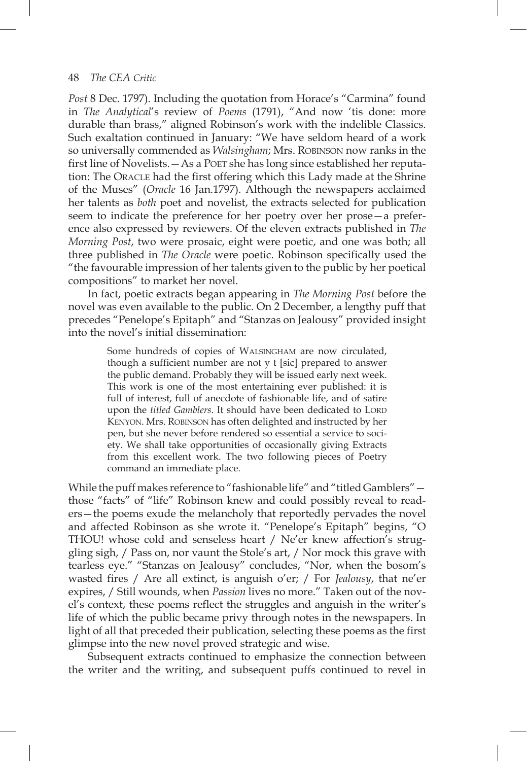## 48 *The CEA Critic*

*Post* 8 Dec. 1797). Including the quotation from Horace's "Carmina" found in *The Analytical*'s review of *Poems* (1791), "And now 'tis done: more durable than brass," aligned Robinson's work with the indelible Classics. Such exaltation continued in January: "We have seldom heard of a work so universally commended as *Walsingham*; Mrs. Robinson now ranks in the first line of Novelists. - As a POET she has long since established her reputation: The Oracle had the first offering which this lady made at the Shrine of the Muses" (*Oracle* 16 Jan.1797). Although the newspapers acclaimed her talents as *both* poet and novelist, the extracts selected for publication seem to indicate the preference for her poetry over her prose—a preference also expressed by reviewers. Of the eleven extracts published in *The Morning Post*, two were prosaic, eight were poetic, and one was both; all three published in *The Oracle* were poetic. Robinson specifically used the "the favourable impression of her talents given to the public by her poetical compositions" to market her novel.

In fact, poetic extracts began appearing in *The Morning Post* before the novel was even available to the public. On 2 December, a lengthy puff that precedes "Penelope's Epitaph" and "Stanzas on Jealousy" provided insight into the novel's initial dissemination:

> Some hundreds of copies of Walsingham are now circulated, though a sufficient number are not y t [sic] prepared to answer the public demand. Probably they will be issued early next week. This work is one of the most entertaining ever published: it is full of interest, full of anecdote of fashionable life, and of satire upon the *titled Gamblers*. It should have been dedicated to LORD Kenyon. Mrs. Robinson has often delighted and instructed by her pen, but she never before rendered so essential a service to society. We shall take opportunities of occasionally giving Extracts from this excellent work. The two following pieces of Poetry command an immediate place.

While the puff makes reference to "fashionable life" and "titled Gamblers" those "facts" of "life" Robinson knew and could possibly reveal to readers—the poems exude the melancholy that reportedly pervades the novel and affected Robinson as she wrote it. "Penelope's Epitaph" begins, "O THOU! whose cold and senseless heart / Ne'er knew affection's struggling sigh, / Pass on, nor vaunt the Stole's art, / Nor mock this grave with tearless eye." "Stanzas on Jealousy" concludes, "Nor, when the bosom's wasted fires / Are all extinct, is anguish o'er; / For *Jealousy*, that ne'er expires, / Still wounds, when *Passion* lives no more." Taken out of the novel's context, these poems reflect the struggles and anguish in the writer's life of which the public became privy through notes in the newspapers. In light of all that preceded their publication, selecting these poems as the first glimpse into the new novel proved strategic and wise.

Subsequent extracts continued to emphasize the connection between the writer and the writing, and subsequent puffs continued to revel in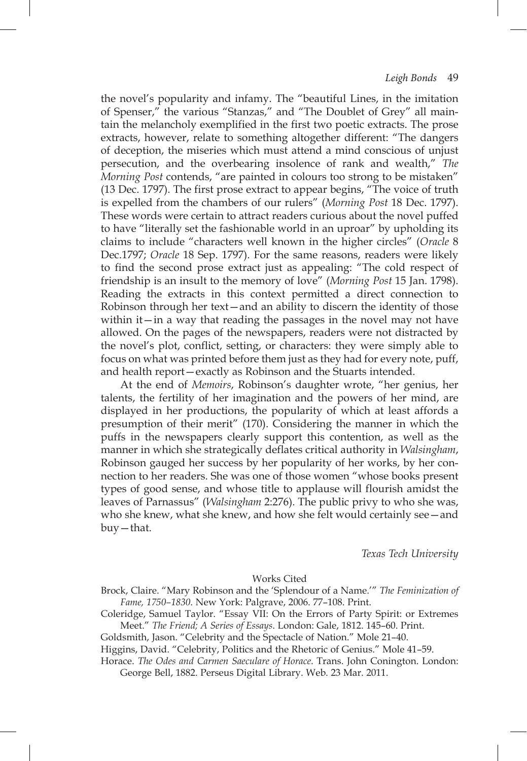the novel's popularity and infamy. The "beautiful Lines, in the imitation of Spenser," the various "Stanzas," and "The Doublet of Grey" all maintain the melancholy exemplified in the first two poetic extracts. The prose extracts, however, relate to something altogether different: "The dangers of deception, the miseries which must attend a mind conscious of unjust persecution, and the overbearing insolence of rank and wealth," *The Morning Post* contends, "are painted in colours too strong to be mistaken" (13 Dec. 1797). The first prose extract to appear begins, "The voice of truth is expelled from the chambers of our rulers" (*Morning Post* 18 Dec. 1797). These words were certain to attract readers curious about the novel puffed to have "literally set the fashionable world in an uproar" by upholding its claims to include "characters well known in the higher circles" (*Oracle* 8 Dec.1797; *Oracle* 18 Sep. 1797). For the same reasons, readers were likely to find the second prose extract just as appealing: "The cold respect of friendship is an insult to the memory of love" (*Morning Post* 15 Jan. 1798). Reading the extracts in this context permitted a direct connection to Robinson through her text—and an ability to discern the identity of those within it—in a way that reading the passages in the novel may not have allowed. On the pages of the newspapers, readers were not distracted by the novel's plot, conflict, setting, or characters: they were simply able to focus on what was printed before them just as they had for every note, puff, and health report—exactly as Robinson and the Stuarts intended.

At the end of *Memoirs*, Robinson's daughter wrote, "her genius, her talents, the fertility of her imagination and the powers of her mind, are displayed in her productions, the popularity of which at least affords a presumption of their merit" (170). Considering the manner in which the puffs in the newspapers clearly support this contention, as well as the manner in which she strategically deflates critical authority in *Walsingham*, Robinson gauged her success by her popularity of her works, by her connection to her readers. She was one of those women "whose books present types of good sense, and whose title to applause will flourish amidst the leaves of Parnassus" (*Walsingham* 2:276). The public privy to who she was, who she knew, what she knew, and how she felt would certainly see—and buy—that.

*Texas Tech University*

## Works Cited

Brock, Claire. "Mary Robinson and the 'Splendour of a Name.'" *The Feminization of Fame, 1750–1830*. New York: Palgrave, 2006. 77–108. Print.

Coleridge, Samuel Taylor. "Essay VII: On the Errors of Party Spirit: or Extremes Meet." *The Friend; A Series of Essays*. London: Gale, 1812. 145–60. Print.

Goldsmith, Jason. "Celebrity and the Spectacle of Nation." Mole 21–40.

Higgins, David. "Celebrity, Politics and the Rhetoric of Genius." Mole 41–59.

Horace. *The Odes and Carmen Saeculare of Horace*. Trans. John Conington. London: George Bell, 1882. Perseus Digital Library. Web. 23 Mar. 2011.